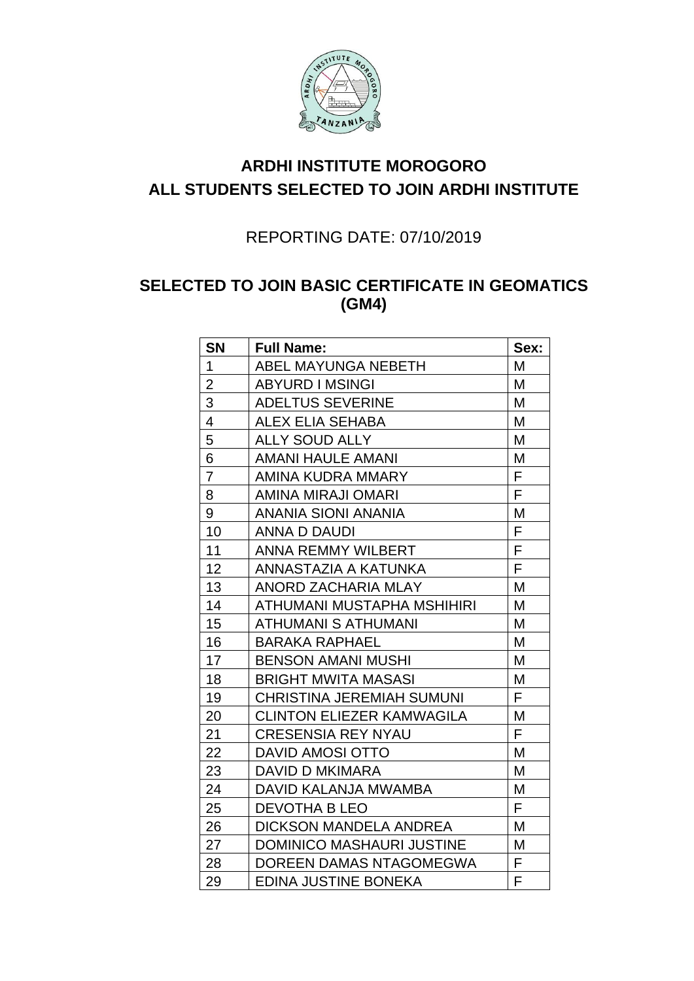

## **ARDHI INSTITUTE MOROGORO ALL STUDENTS SELECTED TO JOIN ARDHI INSTITUTE**

#### REPORTING DATE: 07/10/2019

#### **SELECTED TO JOIN BASIC CERTIFICATE IN GEOMATICS (GM4)**

| <b>SN</b>      | <b>Full Name:</b>                | Sex: |
|----------------|----------------------------------|------|
| 1              | ABEL MAYUNGA NEBETH              | M    |
| $\overline{2}$ | <b>ABYURD I MSINGI</b>           | М    |
| 3              | <b>ADELTUS SEVERINE</b>          | M    |
| 4              | ALEX ELIA SEHABA                 | M    |
| 5              | <b>ALLY SOUD ALLY</b>            | M    |
| 6              | <b>AMANI HAULE AMANI</b>         | М    |
| $\overline{7}$ | AMINA KUDRA MMARY                | F    |
| 8              | AMINA MIRAJI OMARI               | F    |
| 9              | <b>ANANIA SIONI ANANIA</b>       | M    |
| 10             | ANNA D DAUDI                     | F    |
| 11             | <b>ANNA REMMY WILBERT</b>        | F    |
| 12             | ANNASTAZIA A KATUNKA             | F    |
| 13             | ANORD ZACHARIA MLAY              | M    |
| 14             | ATHUMANI MUSTAPHA MSHIHIRI       | M    |
| 15             | <b>ATHUMANI S ATHUMANI</b>       | M    |
| 16             | <b>BARAKA RAPHAEL</b>            | M    |
| 17             | <b>BENSON AMANI MUSHI</b>        | Μ    |
| 18             | <b>BRIGHT MWITA MASASI</b>       | M    |
| 19             | <b>CHRISTINA JEREMIAH SUMUNI</b> | F    |
| 20             | <b>CLINTON ELIEZER KAMWAGILA</b> | M    |
| 21             | <b>CRESENSIA REY NYAU</b>        | F    |
| 22             | DAVID AMOSI OTTO                 | M    |
| 23             | DAVID D MKIMARA                  | M    |
| 24             | DAVID KALANJA MWAMBA             | M    |
| 25             | <b>DEVOTHA B LEO</b>             | F    |
| 26             | <b>DICKSON MANDELA ANDREA</b>    | M    |
| 27             | DOMINICO MASHAURI JUSTINE        | M    |
| 28             | DOREEN DAMAS NTAGOMEGWA          | F    |
| 29             | EDINA JUSTINE BONEKA             | F    |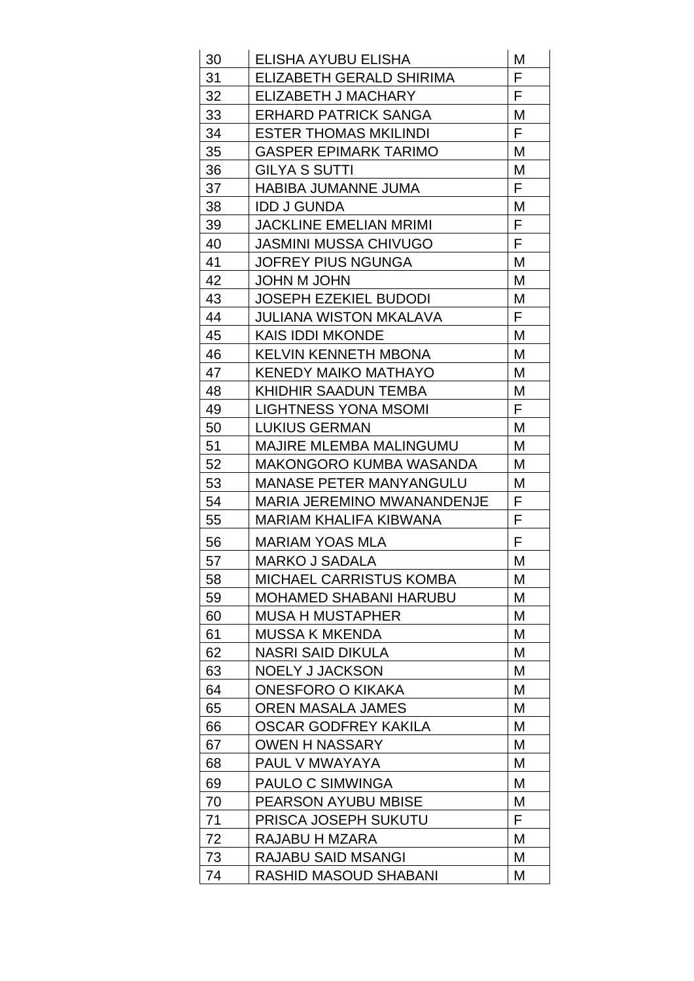| 30 | ELISHA AYUBU ELISHA               | M  |
|----|-----------------------------------|----|
| 31 | ELIZABETH GERALD SHIRIMA          | F  |
| 32 | ELIZABETH J MACHARY               | F  |
| 33 | <b>ERHARD PATRICK SANGA</b>       | M  |
| 34 | <b>ESTER THOMAS MKILINDI</b>      | F  |
| 35 | <b>GASPER EPIMARK TARIMO</b>      | М  |
| 36 | <b>GILYA S SUTTI</b>              | M  |
| 37 | HABIBA JUMANNE JUMA               | F  |
| 38 | <b>IDD J GUNDA</b>                | M  |
| 39 | <b>JACKLINE EMELIAN MRIMI</b>     | F  |
| 40 | <b>JASMINI MUSSA CHIVUGO</b>      | F  |
| 41 | JOFREY PIUS NGUNGA                | М  |
| 42 | <b>JOHN M JOHN</b>                | M  |
| 43 | <b>JOSEPH EZEKIEL BUDODI</b>      | М  |
| 44 | <b>JULIANA WISTON MKALAVA</b>     | F  |
| 45 | <b>KAIS IDDI MKONDE</b>           | М  |
| 46 | <b>KELVIN KENNETH MBONA</b>       | M  |
| 47 | <b>KENEDY MAIKO MATHAYO</b>       | М  |
| 48 | <b>KHIDHIR SAADUN TEMBA</b>       | М  |
| 49 | <b>LIGHTNESS YONA MSOMI</b>       | F  |
| 50 | <b>LUKIUS GERMAN</b>              | М  |
| 51 | <b>MAJIRE MLEMBA MALINGUMU</b>    | М  |
| 52 | <b>MAKONGORO KUMBA WASANDA</b>    | М  |
| 53 | <b>MANASE PETER MANYANGULU</b>    | М  |
| 54 | <b>MARIA JEREMINO MWANANDENJE</b> | F  |
| 55 | MARIAM KHALIFA KIBWANA            | F  |
| 56 | <b>MARIAM YOAS MLA</b>            | F  |
| 57 | <b>MARKO J SADALA</b>             | М  |
| 58 | MICHAEL CARRISTUS KOMBA           | М  |
| 59 | <b>MOHAMED SHABANI HARUBU</b>     | M  |
| 60 | <b>MUSA H MUSTAPHER</b>           | M  |
| 61 | <b>MUSSA K MKENDA</b>             | M  |
| 62 | <b>NASRI SAID DIKULA</b>          | M  |
| 63 | <b>NOELY J JACKSON</b>            | M  |
| 64 | <b>ONESFORO O KIKAKA</b>          | M  |
| 65 | OREN MASALA JAMES                 | M  |
| 66 | <b>OSCAR GODFREY KAKILA</b>       | M  |
| 67 | <b>OWEN H NASSARY</b>             | M  |
| 68 | PAUL V MWAYAYA                    | Μ  |
| 69 | <b>PAULO C SIMWINGA</b>           | M  |
| 70 | <b>PEARSON AYUBU MBISE</b>        | М  |
| 71 | PRISCA JOSEPH SUKUTU              | F. |
| 72 | RAJABU H MZARA                    | М  |
| 73 | RAJABU SAID MSANGI                | M  |
| 74 | RASHID MASOUD SHABANI             | М  |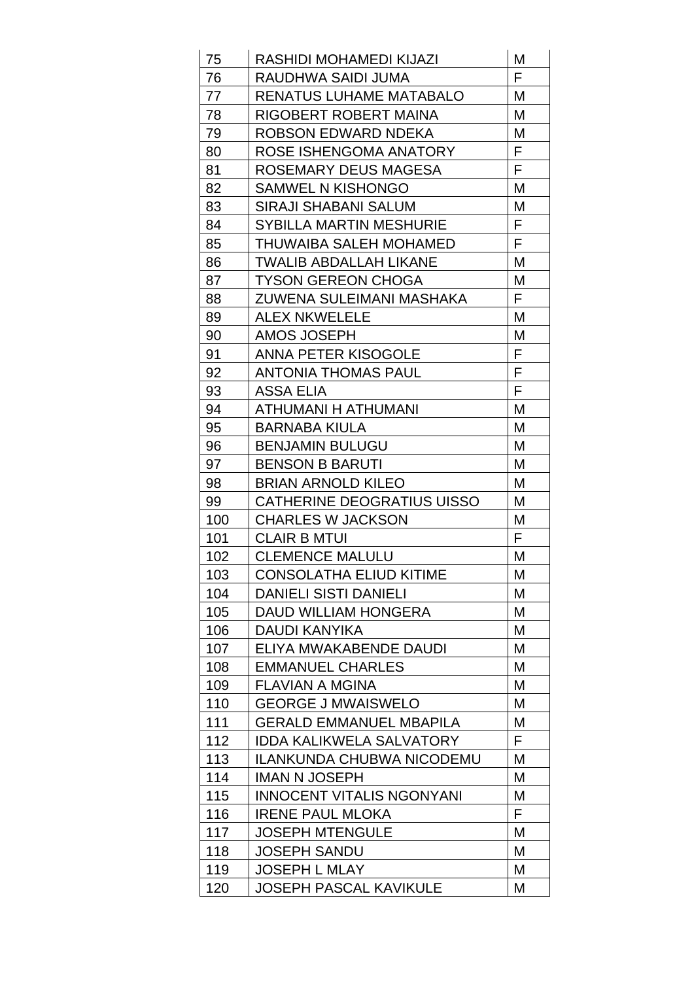| 75  | RASHIDI MOHAMEDI KIJAZI          | М |
|-----|----------------------------------|---|
| 76  | RAUDHWA SAIDI JUMA               | F |
| 77  | RENATUS LUHAME MATABALO          | М |
| 78  | RIGOBERT ROBERT MAINA            | М |
| 79  | ROBSON EDWARD NDEKA              | М |
| 80  | ROSE ISHENGOMA ANATORY           | F |
| 81  | ROSEMARY DEUS MAGESA             | F |
| 82  | SAMWEL N KISHONGO                | М |
| 83  | SIRAJI SHABANI SALUM             | М |
| 84  | <b>SYBILLA MARTIN MESHURIE</b>   | F |
| 85  | <b>THUWAIBA SALEH MOHAMED</b>    | F |
| 86  | <b>TWALIB ABDALLAH LIKANE</b>    | Μ |
| 87  | <b>TYSON GEREON CHOGA</b>        | Μ |
| 88  | ZUWENA SULEIMANI MASHAKA         | F |
| 89  | <b>ALEX NKWELELE</b>             | Μ |
| 90  | <b>AMOS JOSEPH</b>               | Μ |
| 91  | ANNA PETER KISOGOLE              | F |
| 92  | <b>ANTONIA THOMAS PAUL</b>       | F |
| 93  | ASSA ELIA                        | F |
| 94  | ATHUMANI H ATHUMANI              | Μ |
| 95  | BARNABA KIULA                    | М |
| 96  | <b>BENJAMIN BULUGU</b>           | М |
| 97  | <b>BENSON B BARUTI</b>           | М |
| 98  | <b>BRIAN ARNOLD KILEO</b>        | Μ |
| 99  | CATHERINE DEOGRATIUS UISSO       | М |
| 100 | <b>CHARLES W JACKSON</b>         | Μ |
| 101 | <b>CLAIR B MTUI</b>              | F |
| 102 | <b>CLEMENCE MALULU</b>           | М |
| 103 | <b>CONSOLATHA ELIUD KITIME</b>   | M |
| 104 | <b>DANIELI SISTI DANIELI</b>     | М |
| 105 | <b>DAUD WILLIAM HONGERA</b>      | М |
| 106 | DAUDI KANYIKA                    | М |
| 107 | ELIYA MWAKABENDE DAUDI           | М |
| 108 | <b>EMMANUEL CHARLES</b>          | М |
| 109 | <b>FLAVIAN A MGINA</b>           | Μ |
| 110 | <b>GEORGE J MWAISWELO</b>        | М |
| 111 | <b>GERALD EMMANUEL MBAPILA</b>   | M |
| 112 | <b>IDDA KALIKWELA SALVATORY</b>  | F |
| 113 | <b>ILANKUNDA CHUBWA NICODEMU</b> | М |
| 114 | <b>IMAN N JOSEPH</b>             | Μ |
| 115 | <b>INNOCENT VITALIS NGONYANI</b> | Μ |
| 116 | <b>IRENE PAUL MLOKA</b>          | F |
| 117 | <b>JOSEPH MTENGULE</b>           | М |
| 118 | <b>JOSEPH SANDU</b>              | М |
| 119 | <b>JOSEPH L MLAY</b>             | Μ |
| 120 | <b>JOSEPH PASCAL KAVIKULE</b>    | М |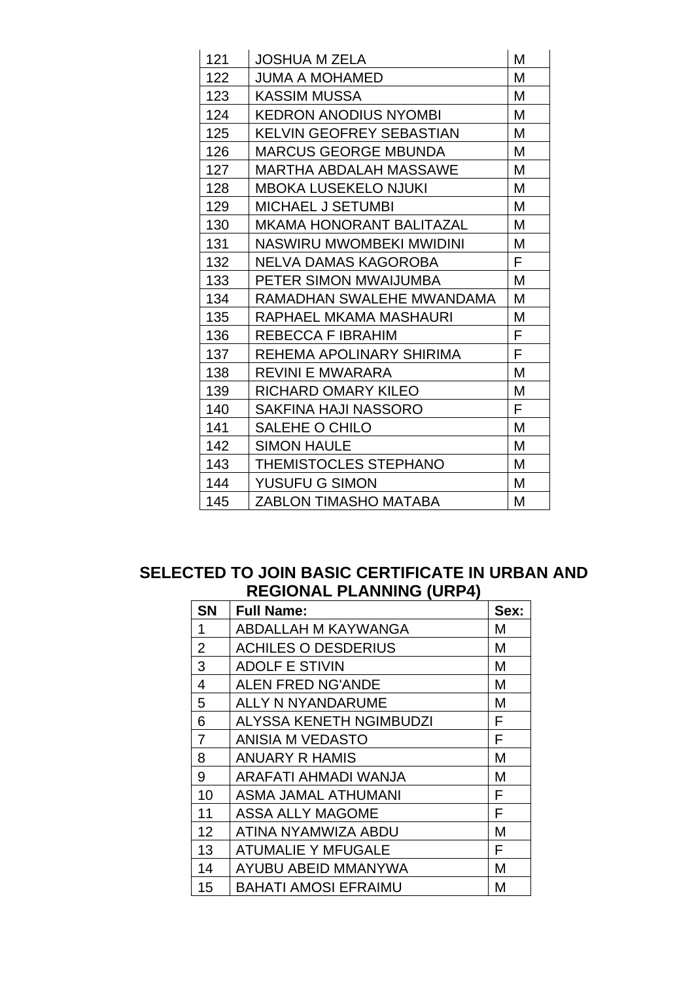| 121 | <b>JOSHUA M ZELA</b>            | M |
|-----|---------------------------------|---|
| 122 | <b>JUMA A MOHAMED</b>           | М |
| 123 | <b>KASSIM MUSSA</b>             | M |
| 124 | <b>KEDRON ANODIUS NYOMBI</b>    | М |
| 125 | <b>KELVIN GEOFREY SEBASTIAN</b> | М |
| 126 | <b>MARCUS GEORGE MBUNDA</b>     | М |
| 127 | <b>MARTHA ABDALAH MASSAWE</b>   | M |
| 128 | <b>MBOKA LUSEKELO NJUKI</b>     | М |
| 129 | <b>MICHAEL J SETUMBI</b>        | M |
| 130 | <b>MKAMA HONORANT BALITAZAL</b> | М |
| 131 | NASWIRU MWOMBEKI MWIDINI        | M |
| 132 | <b>NELVA DAMAS KAGOROBA</b>     | F |
| 133 | PETER SIMON MWAIJUMBA           | M |
| 134 | RAMADHAN SWALEHE MWANDAMA       | M |
| 135 | RAPHAEL MKAMA MASHAURI          | М |
| 136 | REBECCA F IBRAHIM               | F |
| 137 | REHEMA APOLINARY SHIRIMA        | F |
| 138 | <b>REVINI E MWARARA</b>         | М |
| 139 | <b>RICHARD OMARY KILEO</b>      | M |
| 140 | SAKFINA HAJI NASSORO            | F |
| 141 | SALEHE O CHILO                  | M |
| 142 | <b>SIMON HAULE</b>              | M |
| 143 | <b>THEMISTOCLES STEPHANO</b>    | M |
| 144 | YUSUFU G SIMON                  | М |
| 145 | <b>ZABLON TIMASHO MATABA</b>    | M |

#### **SELECTED TO JOIN BASIC CERTIFICATE IN URBAN AND REGIONAL PLANNING (URP4)**

| <b>SN</b>      | <b>Full Name:</b>          | Sex: |
|----------------|----------------------------|------|
| 1              | <b>ABDALLAH M KAYWANGA</b> | М    |
| $\overline{2}$ | <b>ACHILES O DESDERIUS</b> | Μ    |
| 3              | <b>ADOLF E STIVIN</b>      | М    |
| 4              | <b>ALEN FRED NG'ANDE</b>   | М    |
| 5              | ALLY N NYANDARUME          | М    |
| 6              | ALYSSA KENETH NGIMBUDZI    | F    |
| $\overline{7}$ | <b>ANISIA M VEDASTO</b>    | F    |
| 8              | ANUARY R HAMIS             | М    |
| 9              | ARAFATI AHMADI WANJA       | М    |
| 10             | ASMA JAMAL ATHUMANI        | F    |
| 11             | ASSA ALLY MAGOME           | F    |
| 12             | ATINA NYAMWIZA ABDU        | М    |
| 13             | <b>ATUMALIE Y MFUGALE</b>  | F    |
| 14             | AYUBU ABEID MMANYWA        | м    |
| 15             | BAHATI AMOSI EFRAIMU       | М    |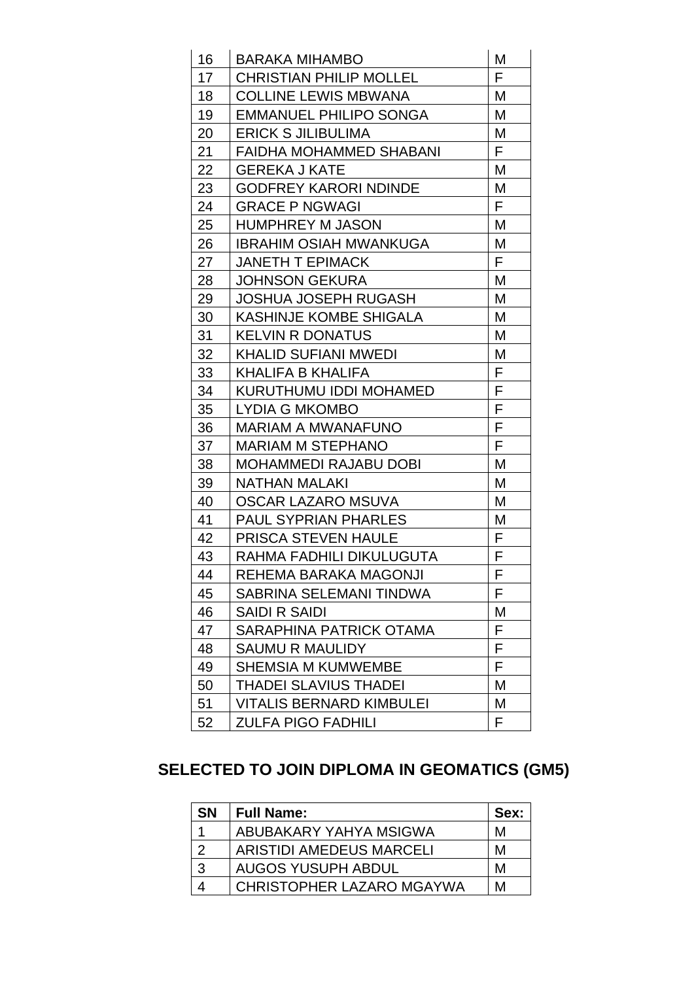| 16 | <b>BARAKA MIHAMBO</b>           | M  |
|----|---------------------------------|----|
| 17 | <b>CHRISTIAN PHILIP MOLLEL</b>  | F  |
| 18 | <b>COLLINE LEWIS MBWANA</b>     | М  |
| 19 | <b>EMMANUEL PHILIPO SONGA</b>   | Μ  |
| 20 | <b>ERICK S JILIBULIMA</b>       | M  |
| 21 | <b>FAIDHA MOHAMMED SHABANI</b>  | F  |
| 22 | <b>GEREKA J KATE</b>            | Μ  |
| 23 | <b>GODFREY KARORI NDINDE</b>    | Μ  |
| 24 | <b>GRACE P NGWAGI</b>           | F. |
| 25 | <b>HUMPHREY M JASON</b>         | М  |
| 26 | <b>IBRAHIM OSIAH MWANKUGA</b>   | Μ  |
| 27 | <b>JANETH T EPIMACK</b>         | F  |
| 28 | <b>JOHNSON GEKURA</b>           | M  |
| 29 | <b>JOSHUA JOSEPH RUGASH</b>     | M  |
| 30 | <b>KASHINJE KOMBE SHIGALA</b>   | Μ  |
| 31 | <b>KELVIN R DONATUS</b>         | M  |
| 32 | <b>KHALID SUFIANI MWEDI</b>     | M  |
| 33 | <b>KHALIFA B KHALIFA</b>        | F  |
| 34 | KURUTHUMU IDDI MOHAMED          | F  |
| 35 | <b>LYDIA G MKOMBO</b>           | F  |
| 36 | <b>MARIAM A MWANAFUNO</b>       | F  |
| 37 | <b>MARIAM M STEPHANO</b>        | F  |
| 38 | <b>MOHAMMEDI RAJABU DOBI</b>    | Μ  |
| 39 | <b>NATHAN MALAKI</b>            | M  |
| 40 | <b>OSCAR LAZARO MSUVA</b>       | М  |
| 41 | <b>PAUL SYPRIAN PHARLES</b>     | М  |
| 42 | <b>PRISCA STEVEN HAULE</b>      | F  |
| 43 | RAHMA FADHILI DIKULUGUTA        | F  |
| 44 | REHEMA BARAKA MAGONJI           | F  |
| 45 | SABRINA SELEMANI TINDWA         | F  |
| 46 | <b>SAIDI R SAIDI</b>            | Μ  |
| 47 | SARAPHINA PATRICK OTAMA         | F  |
| 48 | <b>SAUMU R MAULIDY</b>          | F  |
| 49 | <b>SHEMSIA M KUMWEMBE</b>       | F  |
| 50 | <b>THADEI SLAVIUS THADEI</b>    | М  |
| 51 | <b>VITALIS BERNARD KIMBULEI</b> | Μ  |
| 52 | <b>ZULFA PIGO FADHILI</b>       | F. |

# **SELECTED TO JOIN DIPLOMA IN GEOMATICS (GM5)**

| <b>SN</b> | <b>Full Name:</b>               | Sex: |
|-----------|---------------------------------|------|
|           | ABUBAKARY YAHYA MSIGWA          | М    |
| າ         | <b>ARISTIDI AMEDEUS MARCELI</b> | м    |
| 3         | AUGOS YUSUPH ABDUL              | м    |
|           | CHRISTOPHER LAZARO MGAYWA       | м    |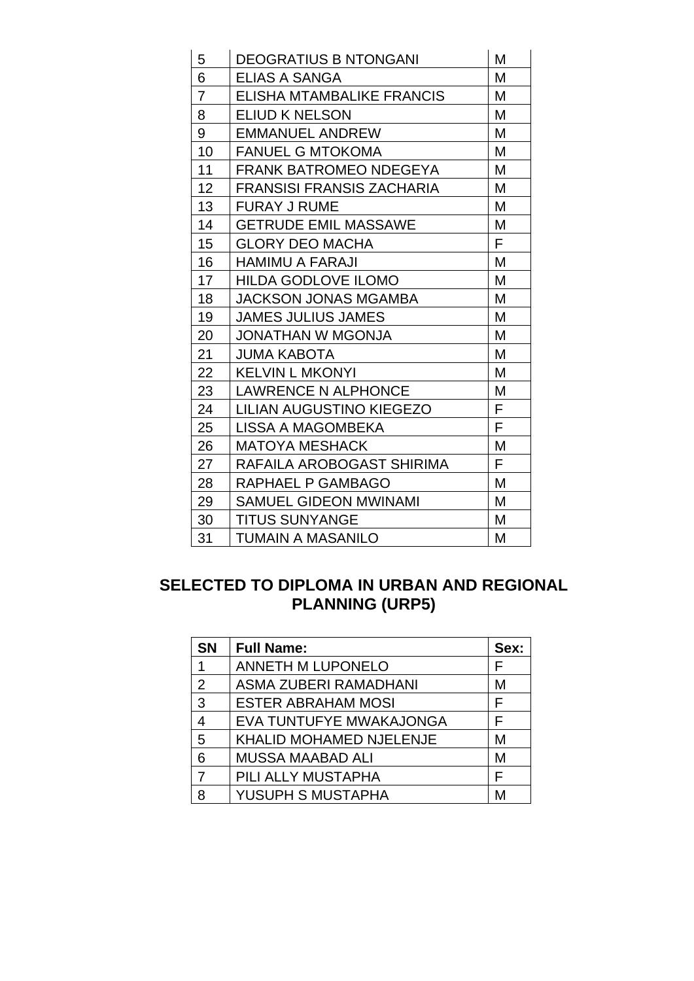| 5              | <b>DEOGRATIUS B NTONGANI</b>     | М |
|----------------|----------------------------------|---|
| 6              | ELIAS A SANGA                    | М |
| $\overline{7}$ | ELISHA MTAMBALIKE FRANCIS        | М |
| 8              | <b>ELIUD K NELSON</b>            | М |
| 9              | <b>EMMANUEL ANDREW</b>           | М |
| 10             | <b>FANUEL G MTOKOMA</b>          | М |
| 11             | <b>FRANK BATROMEO NDEGEYA</b>    | М |
| 12             | <b>FRANSISI FRANSIS ZACHARIA</b> | Μ |
| 13             | <b>FURAY J RUME</b>              | М |
| 14             | <b>GETRUDE EMIL MASSAWE</b>      | М |
| 15             | <b>GLORY DEO MACHA</b>           | F |
| 16             | <b>HAMIMU A FARAJI</b>           | М |
| 17             | <b>HILDA GODLOVE ILOMO</b>       | М |
| 18             | <b>JACKSON JONAS MGAMBA</b>      | М |
| 19             | <b>JAMES JULIUS JAMES</b>        | М |
| 20             | <b>JONATHAN W MGONJA</b>         | М |
| 21             | <b>JUMA KABOTA</b>               | M |
| 22             | <b>KELVIN L MKONYI</b>           | М |
| 23             | <b>LAWRENCE N ALPHONCE</b>       | Μ |
| 24             | <b>LILIAN AUGUSTINO KIEGEZO</b>  | F |
| 25             | LISSA A MAGOMBEKA                | F |
| 26             | <b>MATOYA MESHACK</b>            | М |
| 27             | RAFAILA AROBOGAST SHIRIMA        | F |
| 28             | RAPHAEL P GAMBAGO                | М |
| 29             | <b>SAMUEL GIDEON MWINAMI</b>     | М |
| 30             | <b>TITUS SUNYANGE</b>            | М |
| 31             | <b>TUMAIN A MASANILO</b>         | М |

### **SELECTED TO DIPLOMA IN URBAN AND REGIONAL PLANNING (URP5)**

| <b>SN</b>      | <b>Full Name:</b>         | Sex: |
|----------------|---------------------------|------|
| 1              | <b>ANNETH M LUPONELO</b>  | F    |
| $\overline{2}$ | ASMA ZUBERI RAMADHANI     | M    |
| 3              | <b>ESTER ABRAHAM MOSI</b> | F    |
| 4              | EVA TUNTUFYE MWAKAJONGA   | F    |
| 5              | KHALID MOHAMED NJELENJE   | M    |
| 6              | <b>MUSSA MAABAD ALI</b>   | M    |
| 7              | PILI ALLY MUSTAPHA        | F    |
| 8              | YUSUPH S MUSTAPHA         | M    |